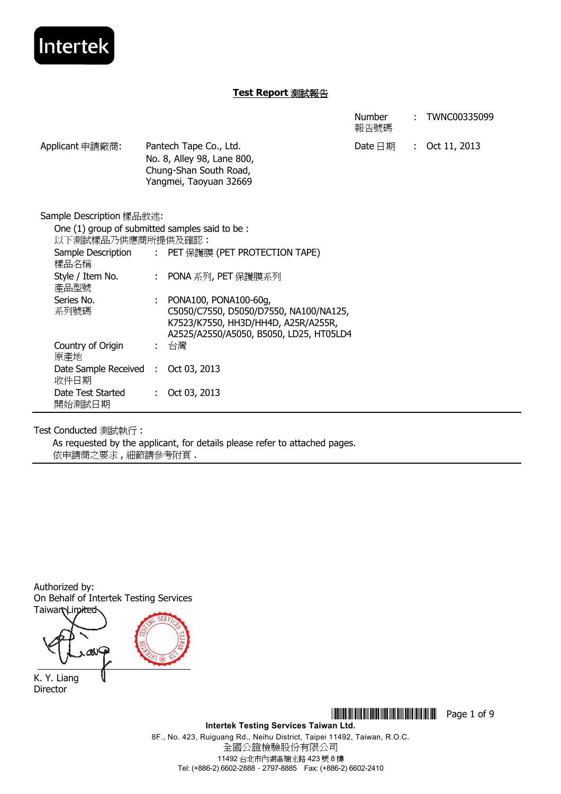

|                                |                                                                                                                                                        | <b>Number</b><br>報告號碼 | TWNC00335099   |
|--------------------------------|--------------------------------------------------------------------------------------------------------------------------------------------------------|-----------------------|----------------|
| Applicant 申請廠商:                | Pantech Tape Co., Ltd.<br>No. 8, Alley 98, Lane 800,<br>Chung-Shan South Road,<br>Yangmei, Taoyuan 32669                                               | Date $\boxdot$ 期      | : Oct 11, 2013 |
| Sample Description 樣品敘述:       |                                                                                                                                                        |                       |                |
| 以下測試樣品乃供應商所提供及確認:              | One (1) group of submitted samples said to be:                                                                                                         |                       |                |
| 樣品名稱                           | Sample Description : PET 保護膜 (PET PROTECTION TAPE)                                                                                                     |                       |                |
| Style / Item No.<br>產品型號       | : PONA 系列, PET 保護膜系列                                                                                                                                   |                       |                |
| Series No.<br>系列號碼             | PONA100, PONA100-60g,<br>÷<br>C5050/C7550, D5050/D7550, NA100/NA125,<br>K7523/K7550, HH3D/HH4D, A25R/A255R,<br>A2525/A2550/A5050, B5050, LD25, HT05LD4 |                       |                |
| Country of Origin<br>原產地       | : 台灣                                                                                                                                                   |                       |                |
| Date Sample Received :<br>收件日期 | Oct 03, 2013                                                                                                                                           |                       |                |
| Date Test Started<br>開始測試日期    | Oct 03, 2013<br>÷                                                                                                                                      |                       |                |

Test Conducted 測試執行 :

As requested by the applicant, for details please refer to attached pages. 依申請商之要求 , 細節請參考附頁 .

Authorized by: On Behalf of Intertek Testing Services **Taiwar Limited** 

α∨

K. Y. Liang Director

> \*THJ0335099\* Page 1 of 9 **Intertek Testing Services Taiwan Ltd.**

8F., No. 423, Ruiguang Rd., Neihu District, Taipei 11492, Taiwan, R.O.C. 全國公證檢驗股份有限公司 11492 台北市內湖區瑞光路 423 號 8 樓 Tel: (+886-2) 6602-2888 · 2797-8885 Fax: (+886-2) 6602-2410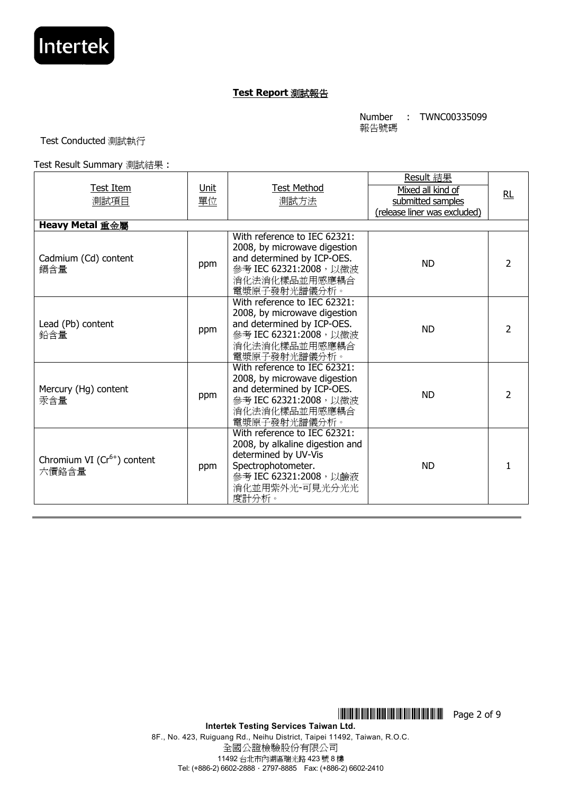

Number 報告號碼 : TWNC00335099

Test Conducted 測試執行

Test Result Summary 測試結果 :

| Test Item<br>測試項目                              | <u>Unit</u><br>單位 | <b>Test Method</b><br>測試方法                                                                                                                                         | Result 結果<br>Mixed all kind of<br>submitted samples<br>(release liner was excluded) | RL |
|------------------------------------------------|-------------------|--------------------------------------------------------------------------------------------------------------------------------------------------------------------|-------------------------------------------------------------------------------------|----|
| Heavy Metal 重金屬<br>Cadmium (Cd) content<br>鎘含量 | ppm               | With reference to IEC 62321:<br>2008, by microwave digestion<br>and determined by ICP-OES.<br>參考 IEC 62321:2008, 以微波<br>消化法消化樣品並用感應耦合<br>電漿原子發射光譜儀分析。              | <b>ND</b>                                                                           | 2  |
| Lead (Pb) content<br>鉛含量                       | ppm               | With reference to IEC 62321:<br>2008, by microwave digestion<br>and determined by ICP-OES.<br>參考 IEC 62321:2008, 以微波<br>消化法消化樣品並用感應耦合<br>電漿原子發射光譜儀分析。              | <b>ND</b>                                                                           | 2  |
| Mercury (Hg) content<br>汞含量                    | ppm               | With reference to IEC 62321:<br>2008, by microwave digestion<br>and determined by ICP-OES.<br>參考 IEC 62321:2008, 以微波<br>消化法消化樣品並用感應耦合<br>電漿原子發射光譜儀分析。              | <b>ND</b>                                                                           | 2  |
| Chromium VI $(Cr^{6+})$ content<br>六價鉻含量       | ppm               | With reference to IEC 62321:<br>2008, by alkaline digestion and<br>determined by UV-Vis<br>Spectrophotometer.<br>參考 IEC 62321:2008, 以鹼液<br>消化並用紫外光-可見光分光光<br>度計分析。 | <b>ND</b>                                                                           |    |

8F., No. 423, Ruiguang Rd., Neihu District, Taipei 11492, Taiwan, R.O.C. 全國公證檢驗股份有限公司 11492 台北市內湖區瑞光路 423 號 8 樓 Tel: (+886-2) 6602-2888.2797-8885 Fax: (+886-2) 6602-2410

\*THJ0335099\* Page 2 of 9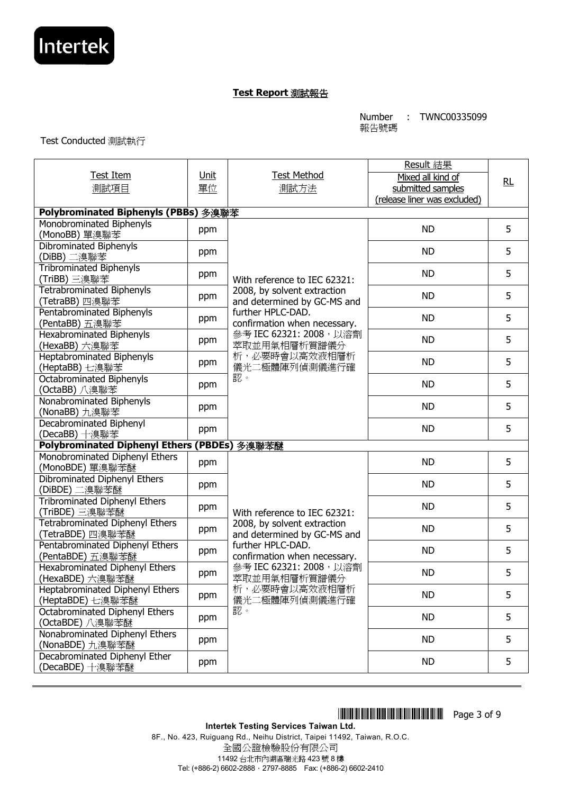

Number 報告號碼 : TWNC00335099

Test Conducted 測試執行

| <b>Test Item</b>                                           | Unit | <b>Test Method</b>                                         | Result 結果                              |    |  |
|------------------------------------------------------------|------|------------------------------------------------------------|----------------------------------------|----|--|
| 測試項目                                                       | 單位   | 測試方法                                                       | Mixed all kind of<br>submitted samples | RL |  |
|                                                            |      |                                                            | (release liner was excluded)           |    |  |
| Polybrominated Biphenyls (PBBs) 多溴聯苯                       |      |                                                            |                                        |    |  |
| Monobrominated Biphenyls<br>(MonoBB) 單溴聯苯                  | ppm  |                                                            | <b>ND</b>                              | 5  |  |
| Dibrominated Biphenyls<br>(DiBB) 二溴聯苯                      | ppm  | <b>ND</b>                                                  |                                        |    |  |
| <b>Tribrominated Biphenyls</b><br>(TriBB) 三溴聯苯             | ppm  | With reference to IEC 62321:                               | <b>ND</b>                              |    |  |
| <b>Tetrabrominated Biphenyls</b><br>(TetraBB) 四溴聯苯         | ppm  | 2008, by solvent extraction<br>and determined by GC-MS and | <b>ND</b>                              | 5  |  |
| Pentabrominated Biphenyls<br>(PentaBB) 五溴聯苯                | ppm  | further HPLC-DAD.<br>confirmation when necessary.          | <b>ND</b>                              | 5  |  |
| <b>Hexabrominated Biphenyls</b><br>(HexaBB) 六溴聯苯           | ppm  | 參考 IEC 62321: 2008, 以溶劑<br>萃取並用氣相層析質譜儀分                    | <b>ND</b>                              | 5  |  |
| Heptabrominated Biphenyls<br>(HeptaBB) 七溴聯苯                | ppm  | 析,必要時會以高效液相層析<br>儀光二極體陣列偵測儀進行確                             | <b>ND</b>                              | 5  |  |
| Octabrominated Biphenyls<br>(OctaBB) 八溴聯苯                  | ppm  | 認。                                                         | <b>ND</b>                              | 5  |  |
| Nonabrominated Biphenyls<br>(NonaBB) 九溴聯苯                  | ppm  |                                                            | <b>ND</b>                              | 5  |  |
| Decabrominated Biphenyl<br>(DecaBB) 十溴聯苯                   | ppm  |                                                            | <b>ND</b>                              | 5  |  |
| Polybrominated Diphenyl Ethers (PBDEs) 多溴聯苯醚               |      |                                                            |                                        |    |  |
| Monobrominated Diphenyl Ethers<br>(MonoBDE) 單溴聯苯醚          | ppm  |                                                            | <b>ND</b>                              | 5  |  |
| Dibrominated Diphenyl Ethers<br>(DiBDE) 二溴聯苯醚              | ppm  |                                                            | <b>ND</b>                              | 5  |  |
| Tribrominated Diphenyl Ethers<br>(TriBDE) 三溴聯苯醚            | ppm  | With reference to IEC 62321:                               | <b>ND</b>                              | 5  |  |
| <b>Tetrabrominated Diphenyl Ethers</b><br>(TetraBDE) 四溴聯苯醚 | ppm  | 2008, by solvent extraction<br>and determined by GC-MS and | <b>ND</b>                              | 5  |  |
| Pentabrominated Diphenyl Ethers<br>(PentaBDE) 五溴聯苯醚        | ppm  | further HPLC-DAD.<br>confirmation when necessary.          | <b>ND</b>                              | 5  |  |
| Hexabrominated Diphenyl Ethers<br>(HexaBDE) 六溴聯苯醚          | ppm  | 參考 IEC 62321: 2008, 以溶劑<br>萃取並用氣相層析質譜儀分                    | <b>ND</b>                              | 5  |  |
| Heptabrominated Diphenyl Ethers<br>(HeptaBDE) 七溴聯苯醚        | ppm  | 析,必要時會以高效液相層析<br>儀光二極體陣列偵測儀進行確                             | <b>ND</b>                              | 5  |  |
| Octabrominated Diphenyl Ethers<br>(OctaBDE) 八溴聯苯醚          | ppm  | 認。                                                         | <b>ND</b>                              | 5  |  |
| Nonabrominated Diphenyl Ethers<br>(NonaBDE) 九溴聯苯醚          | ppm  |                                                            | <b>ND</b>                              | 5  |  |
| Decabrominated Diphenyl Ether<br>(DecaBDE) 十溴聯苯醚           | ppm  |                                                            | <b>ND</b>                              | 5  |  |

**Intertek Testing Services Taiwan Ltd.**  8F., No. 423, Ruiguang Rd., Neihu District, Taipei 11492, Taiwan, R.O.C. 全國公證檢驗股份有限公司

11492 台北市內湖區瑞光路 423 號 8 樓 Tel: (+886-2) 6602-2888.2797-8885 Fax: (+886-2) 6602-2410

\*THJ0335099\* Page 3 of 9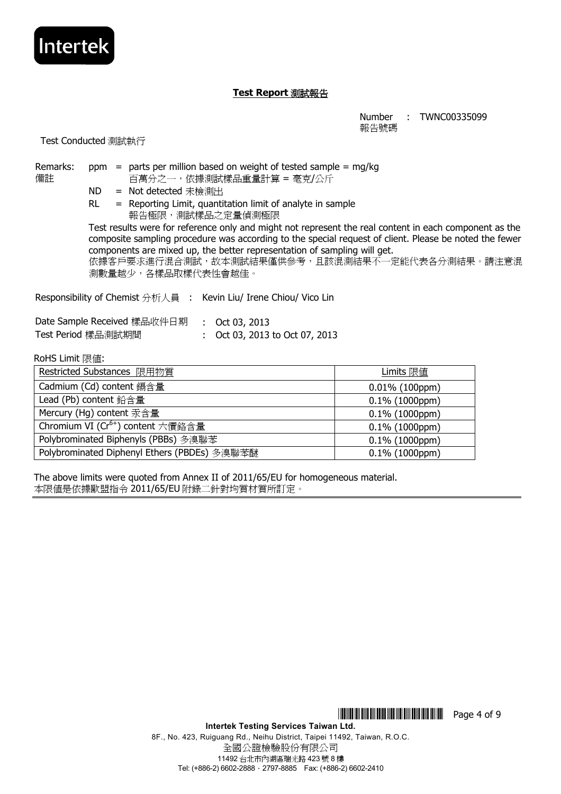

Number : TWNC00335099 報告號碼

Test Conducted 測試執行

Intertek

| Remarks:<br>備註                                                    |           |  |                             |  | $ppm$ = parts per million based on weight of tested sample = mg/kg<br>百萬分之一,依據測試樣品重量計算 = 毫克/公斤 |                                                                                                                                                                                                                  |
|-------------------------------------------------------------------|-----------|--|-----------------------------|--|------------------------------------------------------------------------------------------------|------------------------------------------------------------------------------------------------------------------------------------------------------------------------------------------------------------------|
|                                                                   | ND -      |  | = Not detected 未檢測出         |  |                                                                                                |                                                                                                                                                                                                                  |
|                                                                   | <b>RL</b> |  | 報告極限,測試樣品之定量偵測極限            |  | $=$ Reporting Limit, quantitation limit of analyte in sample                                   |                                                                                                                                                                                                                  |
|                                                                   |           |  |                             |  | components are mixed up, the better representation of sampling will get.                       | Test results were for reference only and might not represent the real content in each component as the<br>composite sampling procedure was according to the special request of client. Please be noted the fewer |
|                                                                   |           |  | 測數量越少,各樣品取樣代表性會越佳。          |  |                                                                                                | 依據客戶要求進行混合測試,故本測試結果僅供參考,且該混測結果不一定能代表各分測結果。請注意混                                                                                                                                                                   |
| Responsibility of Chemist 分析人員 : Kevin Liu/ Irene Chiou/ Vico Lin |           |  |                             |  |                                                                                                |                                                                                                                                                                                                                  |
|                                                                   |           |  | Date Sample Received 樣品收件日期 |  | : Oct 03, 2013                                                                                 |                                                                                                                                                                                                                  |
| Test Period 樣品測試期間                                                |           |  |                             |  | : Oct 03, 2013 to Oct 07, 2013                                                                 |                                                                                                                                                                                                                  |
| RoHS Limit 限值:                                                    |           |  |                             |  |                                                                                                |                                                                                                                                                                                                                  |
|                                                                   |           |  | Restricted Substances 限用物質  |  |                                                                                                | Limits 限値                                                                                                                                                                                                        |
| Cadmium (Cd) content 鎘含量                                          |           |  |                             |  |                                                                                                | $0.01\%$ (100ppm)                                                                                                                                                                                                |
| Lead (Pb) content 鉛含量                                             |           |  |                             |  |                                                                                                | $0.1\%$ (1000ppm)                                                                                                                                                                                                |
|                                                                   |           |  |                             |  |                                                                                                |                                                                                                                                                                                                                  |

| Mercury (Hg) content 汞含量                     | $0.1\%$ (1000ppm) |
|----------------------------------------------|-------------------|
| Chromium VI ( $Cr^{6+}$ ) content 六價鉻含量      | $0.1\%$ (1000ppm) |
| Polybrominated Biphenyls (PBBs) 多溴聯苯         | $0.1\%$ (1000ppm) |
| Polybrominated Diphenyl Ethers (PBDEs) 多溴聯苯醚 | $0.1\%$ (1000ppm) |

The above limits were quoted from Annex II of 2011/65/EU for homogeneous material. 本限值是依據歐盟指令 2011/65/EU 附錄二針對均質材質所訂定。

\*THJ0335099\* Page 4 of 9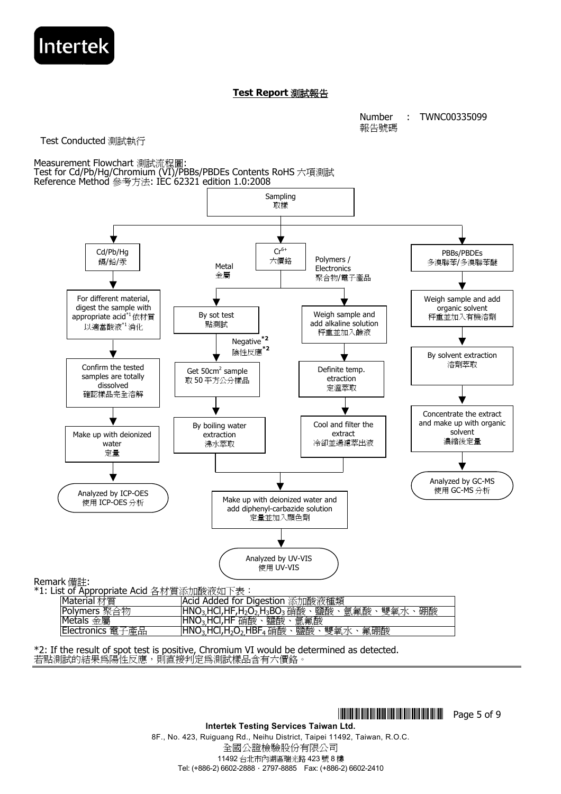

Number 報告號碼 : TWNC00335099

Test Conducted 測試執行

Measurement Flowchart 測試流程圖: Test for Cd/Pb/Hg/Chromium (VI)/PBBs/PBDEs Contents RoHS 六項測試 Reference Method 參考方法: IEC 62321 edition 1.0:2008 Sampling 取樣 For different material, digest the sample with appropriate acid<sup>\*1</sup>依材質 以適當酸液\*1消化 Make up with deionized water 定量 Cd/Pb/Hg 鎘/鉛/汞 Weigh sample and add alkaline solution 秤重並加入鹼液 Definite temp. etraction 定溫萃取 Make up with deionized water and add diphenyl-carbazide solution 定量並加入顯色劑 Cool and filter the extract 冷卻並過濾萃出液  $Cr^{6+}$ 六價鉻 Weigh sample and add organic solvent 秤重並加入有機溶劑 By solvent extraction 溶劑萃取 Concentrate the extract and make up with organic solvent 濃縮後定量 PBBs/PBDEs 多溴聯苯/多溴聯苯醚 Analyzed by UV-VIS 使用 UV-VIS Analyzed by ICP-OES 使用 ICP-OES 分析 Analyzed by GC-MS 使用 GC-MS 分析 By sot test 點測試 Get 50cm<sup>2</sup> sample 取 50 平方公分樣品 By boiling water extraction 沸水萃取 Metal 金屬 Polymers / **Electronics** 聚合物/電子產品 Negative**\*2** 陰性反應**\*2** Confirm the tested samples are totally dissolved 確認樣品完全溶解

Remark 備註:

\*1: List of Appropriate Acid 各材質添加酸液如下表: Material 材質 **Acid Added for Digestion 添加酸液種類**<br>|Polymers 聚合物 ||HNO<sub>3,</sub>HCl,HF,H<sub>2</sub>O<sub>2,</sub>H<sub>3</sub>BO<sub>3</sub> 硝酸、鹽酸、 HNO<sub>3</sub>,HCl,HF,H<sub>2</sub>O<sub>2,</sub>H<sub>3</sub>BO<sub>3</sub> 硝酸、鹽酸、氫氟酸、雙氧水、硼酸 |Metals <u>金屬 || HNO3,HCl,HF 硝酸、鹽酸、氫氟酸</u><br>|Electronics 電子產品 || HNO<sub>3.</sub>HCl,H<sub>2</sub>O<sub>2.</sub>HBF<sub>4</sub> 硝酸、鹽酸、  $\overline{\mathsf{HNO_3,HCl}},\mathsf{H_2O_2,HBF_4}$ 硝酸、鹽酸、雙氧水、氟硼酸

\*2: If the result of spot test is positive, Chromium VI would be determined as detected. 若點測試的結果為陽性反應,則直接判定為測試樣品含有六價鉻。

**THEFTH THEFTH THEFTH THEFTH** Page 5 of 9

**Intertek Testing Services Taiwan Ltd.**  8F., No. 423, Ruiguang Rd., Neihu District, Taipei 11492, Taiwan, R.O.C. 全國公證檢驗股份有限公司 11492 台北市內湖區瑞光路 423 號 8 樓 Tel: (+886-2) 6602-2888.2797-8885 Fax: (+886-2) 6602-2410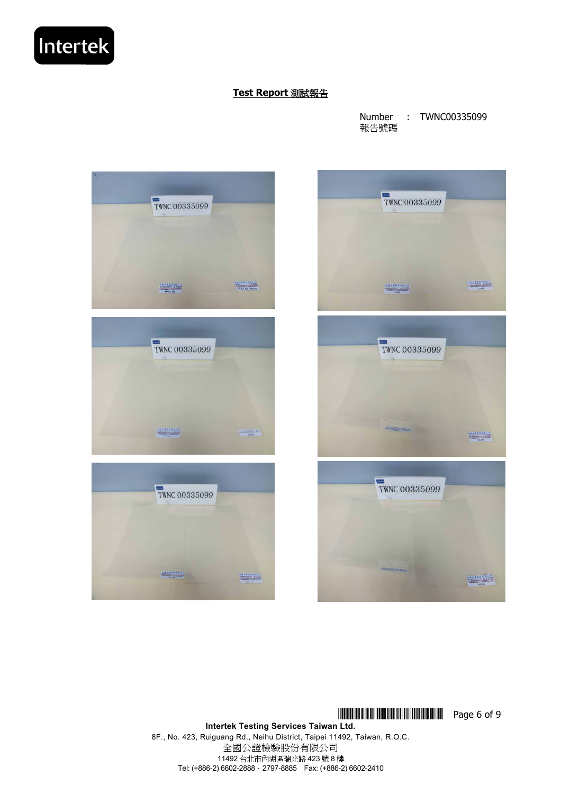Number 報告號碼 : TWNC00335099





**Intertek Testing Services Taiwan Ltd.** 

8F., No. 423, Ruiguang Rd., Neihu District, Taipei 11492, Taiwan, R.O.C. 全國公證檢驗股份有限公司 11492 台北市內湖區瑞光路 423 號 8 樓 Tel: (+886-2) 6602-2888.2797-8885 Fax: (+886-2) 6602-2410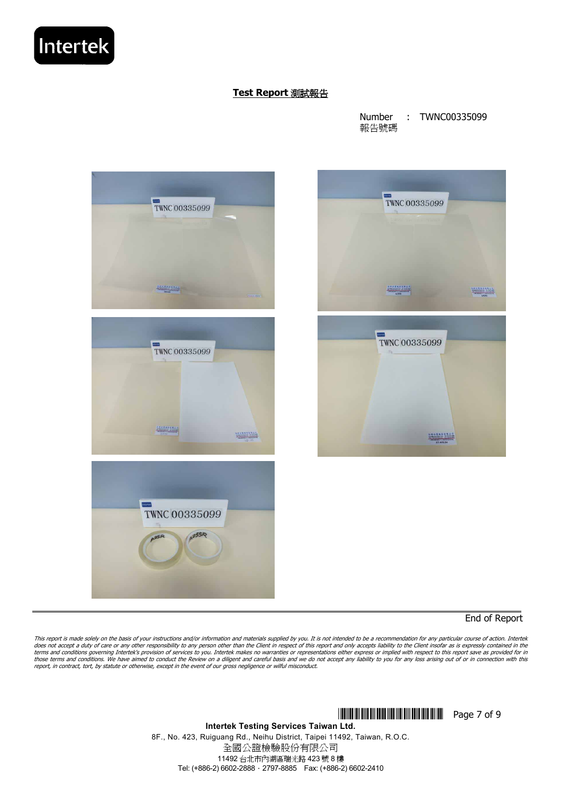Number 報告號碼 : TWNC00335099



End of Report

This report is made solely on the basis of your instructions and/or information and materials supplied by you. It is not intended to be a recommendation for any particular course of action. Intertek<br>does not accept a duty terms and conditions governing Intertek's provision of services to you. Intertek makes no warranties or representations either express or implied with respect to this report save as provided for in<br>those terms and conditio report, in contract, tort, by statute or otherwise, except in the event of our gross negligence or wilful misconduct.

**THEFT IN SET OF 9** THEFT IN SET OF 9

**Intertek Testing Services Taiwan Ltd.**  8F., No. 423, Ruiguang Rd., Neihu District, Taipei 11492, Taiwan, R.O.C. 全國公證檢驗股份有限公司 11492 台北市內湖區瑞光路 423 號 8 樓 Tel: (+886-2) 6602-2888.2797-8885 Fax: (+886-2) 6602-2410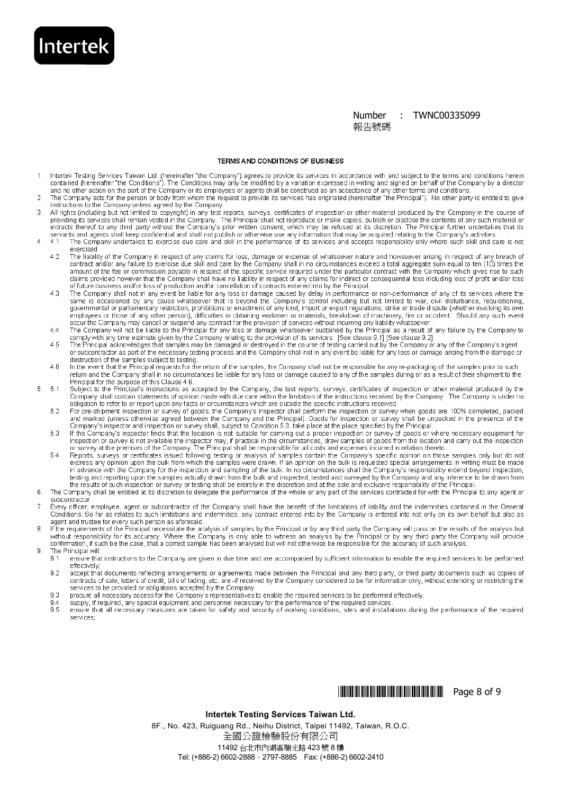#### **Number** : TWNC00335099 報告號碼

#### TERMS AND CONDITIONS OF BUSINESS

**Intertek** 

5

6

- Intertek Testing Services Taiwan Ltd. (hereinafter "the Company") agrees to provide its services in accordance with and subject to the terms and conditions herein<br>contained (hereinafter "the Conditions"). The Conditions ma  $\mathbf{1}$ and no other action on the part of the Company or its employees or agents shall be construed as an acceptance of any other terms and conditions
- The Company acts for the person or body from whom the request to provide its services has originated (hereinafter "the Principal"). No other party is entitled to give<br>instructions to the Company unless agreed by the Compan 2
- ă All rights (including but not limited to copyright) in any test reports, surveys, certificates of inspection or other material produced by the Company in the course of providing its services shall remain vested in the Company. The Principal shall not reproduce or make copies, publish or disclose the contents of any such material or<br>extracts thereof to any third party without the Company'
- explants and agents shall keep confidential and shall not publish or otherwise use any information that may be acquired relating to the Company's activities.<br>4.1 The Company undertakes to exercise due care and skill in the  $4.1$ exercised
	- $42$ The liability of the Company in respect of any claims for loss, damage or expense of whatsoever nature and howsoever arising in respect of any breach of contract and/or any failure to exercise due skill and care by the Company shall in no circumstances exceed a total aggregate sum equal to ten (10) times the contract and/or any failure to exercise due skill and care by the claims provided however that the Company shall have no liability in respect of any claims for indirect or consequential loss including loss of profit and/or loss of future business and/or loss of production and/or cancellation of contracts entered into by the Principal.
	- The Company shall not in any event be liable for any loss or damage caused by delay in performance or non-performance of any of its services where the The Company shall not in any event be liable for any loss or damage cau  $4.3$ occur the Company may cancel or suspend any contract for the provision of services without incurring any liability whatsoever.
	- The Company will not be liable to the Principal for any loss or damage whatsoever sustained by the Principal as a result of any failure by the Company to comply with any time estimate given by the Company relating to the p  $A$
	- $45$ or subcontractor as part of the necessary testing process and the Company shall not in any event be liable for any loss or damage arising from the damage or destruction of the samples subject to testing.
	- In the event that the Principal requests for the return of the samples, the Company shall not be responsible for any re-packaging of the samples prior to such  $4R$ return and the Company shall in no circumstances be liable for any loss or damage caused to any of the samples during or as a result of their shipment to the Principal for the purpose of this Clause 4.6.
	- $5.1$ Subject to the Principal's instructions as accepted by the Company, the test reports, surveys, certificates of inspection or other material produced by the Company shall contain statements of opinion made with due care within the limitation of the instructions received by the Company. The Company is under no obligation to refer to or report upon any facts or circumstances which are outside the specific instructions received.<br>For pre-shipment inspection or survey of goods, the Company's inspector shall perform the inspection or
	- 52 For pre-supprietional of survey or goods, are company sind the Principal). Goods for inspection or survey when the unpacked in the presence of the<br>Company's inspector and inspection or survey shall, subject to Condition 5.
	- If the Company's inspector finds that the location is not suitable for canying out a proper inspection or survey of goods or where necessary equipment for inspection or survey is not available the inspector may, if practic 5.3
	- 5.4 Reports, surveys or certificates issued following testing or analysis of samples contain the Company's specific opinion on those samples only but do not express any opinion upon the bulk from which the samples were drawn. If an opinion on the bulk is requested special arrangements in writing must be made in advance with the Company for the inspection and sampling of the bulk. In no circumstances shall the Company's responsibility extend beyond inspection, in advance while company for the inspection and sampling of the burk. In no chounstances share the Company's responsibility of the Principal and any inference to be drawn from the burk and inspection, the results of such i
	- The Company shall be entitled at its discretion to delegate the performance of the whole or any part of the services contracted for with the Principal to any agent or subcontractor
- $\overline{7}$ Every officer, employee, agent or subcontractor of the Company shall have the benefit of the limitations of liability and the indemnities contained in the General Conditions. So far as relates to such limitations and indemnities, any contract entered into by the Company is entered into not only on its own behalf but also as
- agent and trustee for every such person as aforesaid.<br>If the requirements of the Principal necessitate the analysis of samples by the Principal or by any third party the Company will pass on the results of the analysis but 8 without responsibility for its accuracy. Where the Company is only able to witness an analysis by the Principal or by any third party the Company will provide<br>confirmation, if such be the case, that a correct sample has be g The Principal will:
	- ensure that instructions to the Company are given in due time and are accompanied by sufficient information to enable the required services to be performed  $9.1$ effectively
	- $9.2$ accept that documents reflecting arrangements or agreements made between the Principal and any third party, or third party documents such as copies of contracts of sale, letters of credit, bills of lading, etc. are -if received by the Company considered to be for information only, without extending or restricting the services to be provided or obligations accepted by the Company.
	- 9.3 procure all necessary access for the Company's representatives to enable the required services to be performed effectively
	- 9.4
	- supply, if required, any special equipment and personnel necessary for the performance of the required services.<br>Examply, if required, any special equipment and personnel necessary for the performance of the required servi  $9.5$ services:



### Intertek Testing Services Taiwan Ltd.

8F., No. 423, Ruiguang Rd., Neihu District, Taipei 11492, Taiwan, R.O.C. 全國公證檢驗股份有限公司 11492 台北市內湖區瑞光路 423號 8樓 Tel: (+886-2) 6602-2888 · 2797-8885 Fax: (+886-2) 6602-2410